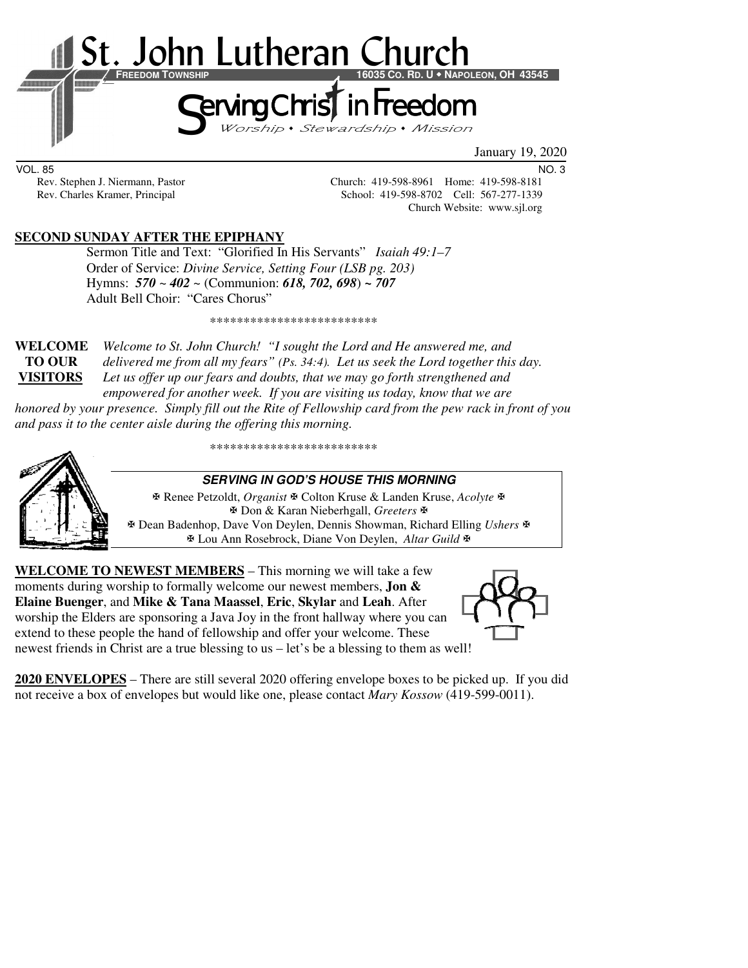

VOL. 85 NO. 3

Rev. Stephen J. Niermann, Pastor Church: 419-598-8961 Home: 419-598-8181 Rev. Charles Kramer, Principal School: 419-598-8702 Cell: 567-277-1339 Church Website: www.sjl.org

### **SECOND SUNDAY AFTER THE EPIPHANY**

 Sermon Title and Text: "Glorified In His Servants" *Isaiah 49:1–7*  Order of Service: *Divine Service, Setting Four (LSB pg. 203)*  Hymns: *570 ~ 402 ~* (Communion: *618, 702, 698*) *~ 707* Adult Bell Choir: "Cares Chorus"

\*\*\*\*\*\*\*\*\*\*\*\*\*\*\*\*\*\*\*\*\*\*\*\*\*

**WELCOME** *Welcome to St. John Church! "I sought the Lord and He answered me, and* **TO OUR** *delivered me from all my fears" (Ps. 34:4). Let us seek the Lord together this day.*  **VISITORS** *Let us offer up our fears and doubts, that we may go forth strengthened and empowered for another week. If you are visiting us today, know that we are* 

*honored by your presence. Simply fill out the Rite of Fellowship card from the pew rack in front of you and pass it to the center aisle during the offering this morning.* 



\*\*\*\*\*\*\*\*\*\*\*\*\*\*\*\*\*\*\*\*\*\*\*\*\*

### **SERVING IN GOD'S HOUSE THIS MORNING**

 Renee Petzoldt, *Organist* Colton Kruse & Landen Kruse, *Acolyte* Don & Karan Nieberhgall, *Greeters* Dean Badenhop, Dave Von Deylen, Dennis Showman, Richard Elling *Ushers* Lou Ann Rosebrock, Diane Von Deylen, *Altar Guild*

**WELCOME TO NEWEST MEMBERS** – This morning we will take a few moments during worship to formally welcome our newest members, **Jon & Elaine Buenger**, and **Mike & Tana Maassel**, **Eric**, **Skylar** and **Leah**. After worship the Elders are sponsoring a Java Joy in the front hallway where you can extend to these people the hand of fellowship and offer your welcome. These newest friends in Christ are a true blessing to us – let's be a blessing to them as well!



**2020 ENVELOPES** – There are still several 2020 offering envelope boxes to be picked up. If you did not receive a box of envelopes but would like one, please contact *Mary Kossow* (419-599-0011).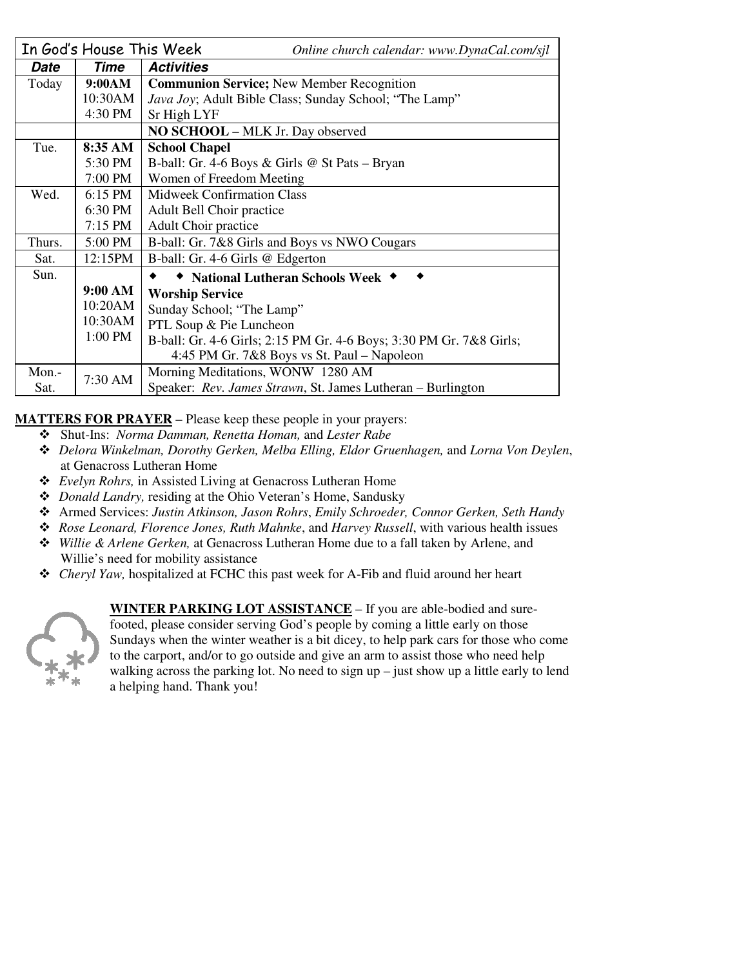|        | In God's House This Week          | Online church calendar: www.DynaCal.com/sjl                         |  |  |  |
|--------|-----------------------------------|---------------------------------------------------------------------|--|--|--|
| Date   | Time                              | <b>Activities</b>                                                   |  |  |  |
| Today  | 9:00AM                            | <b>Communion Service; New Member Recognition</b>                    |  |  |  |
|        | 10:30AM                           | <i>Java Joy</i> ; Adult Bible Class; Sunday School; "The Lamp"      |  |  |  |
|        | 4:30 PM                           | Sr High LYF                                                         |  |  |  |
|        |                                   | <b>NO SCHOOL</b> – MLK Jr. Day observed                             |  |  |  |
| Tue.   | 8:35 AM                           | <b>School Chapel</b>                                                |  |  |  |
|        | 5:30 PM                           | B-ball: Gr. 4-6 Boys & Girls @ St Pats – Bryan                      |  |  |  |
|        | 7:00 PM                           | Women of Freedom Meeting                                            |  |  |  |
| Wed.   | 6:15 PM                           | <b>Midweek Confirmation Class</b>                                   |  |  |  |
|        | 6:30 PM                           | Adult Bell Choir practice                                           |  |  |  |
|        | $7:15$ PM                         | Adult Choir practice                                                |  |  |  |
| Thurs. | 5:00 PM                           | B-ball: Gr. 7&8 Girls and Boys vs NWO Cougars                       |  |  |  |
| Sat.   | 12:15PM                           | B-ball: Gr. 4-6 Girls @ Edgerton                                    |  |  |  |
| Sun.   |                                   | ◆ National Lutheran Schools Week ◆                                  |  |  |  |
|        | 9:00 AM<br><b>Worship Service</b> |                                                                     |  |  |  |
|        | 10:20AM                           | Sunday School; "The Lamp"                                           |  |  |  |
|        | 10:30AM                           | PTL Soup & Pie Luncheon                                             |  |  |  |
|        | 1:00 PM                           | B-ball: Gr. 4-6 Girls; 2:15 PM Gr. 4-6 Boys; 3:30 PM Gr. 7&8 Girls; |  |  |  |
|        |                                   | 4:45 PM Gr. 7&8 Boys vs St. Paul – Napoleon                         |  |  |  |
| Mon.-  | 7:30 AM                           | Morning Meditations, WONW 1280 AM                                   |  |  |  |
| Sat.   |                                   | Speaker: Rev. James Strawn, St. James Lutheran – Burlington         |  |  |  |

**MATTERS FOR PRAYER** – Please keep these people in your prayers:

- Shut-Ins: *Norma Damman, Renetta Homan,* and *Lester Rabe* 
	- *Delora Winkelman, Dorothy Gerken, Melba Elling, Eldor Gruenhagen,* and *Lorna Von Deylen*, at Genacross Lutheran Home
	- *Evelyn Rohrs,* in Assisted Living at Genacross Lutheran Home
	- *Donald Landry,* residing at the Ohio Veteran's Home, Sandusky
	- Armed Services: *Justin Atkinson, Jason Rohrs*, *Emily Schroeder, Connor Gerken, Seth Handy*
	- *Rose Leonard, Florence Jones, Ruth Mahnke*, and *Harvey Russell*, with various health issues
	- *Willie & Arlene Gerken,* at Genacross Lutheran Home due to a fall taken by Arlene, and Willie's need for mobility assistance
	- *Cheryl Yaw,* hospitalized at FCHC this past week for A-Fib and fluid around her heart



**WINTER PARKING LOT ASSISTANCE** – If you are able-bodied and sure-

footed, please consider serving God's people by coming a little early on those Sundays when the winter weather is a bit dicey, to help park cars for those who come to the carport, and/or to go outside and give an arm to assist those who need help walking across the parking lot. No need to sign up – just show up a little early to lend a helping hand. Thank you!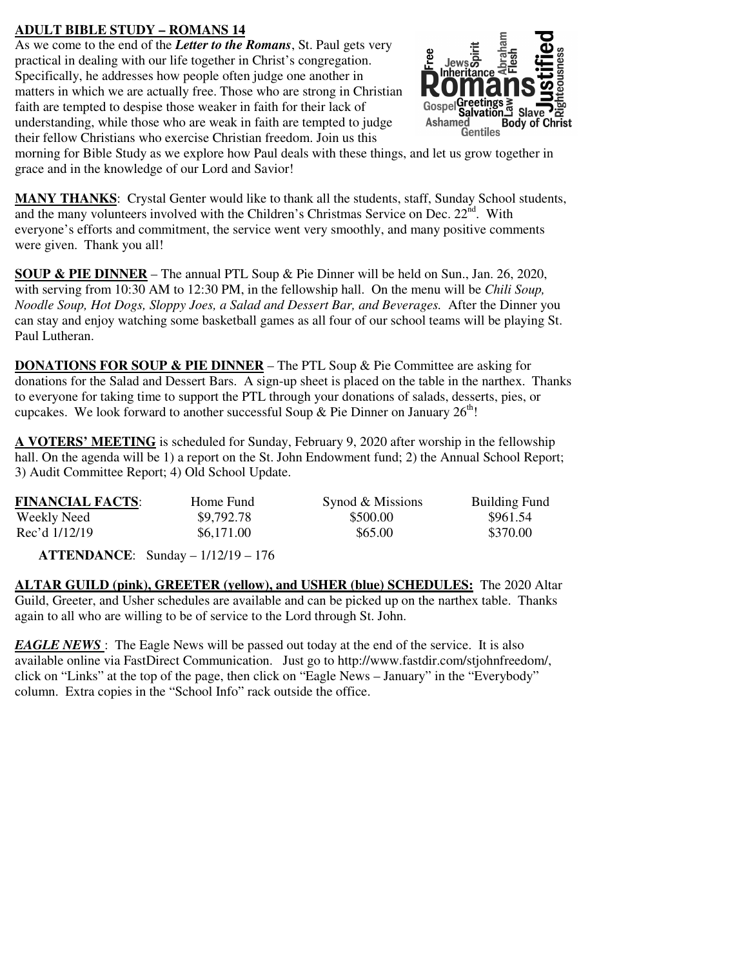### **ADULT BIBLE STUDY – ROMANS 14**

As we come to the end of the *Letter to the Romans*, St. Paul gets very practical in dealing with our life together in Christ's congregation. Specifically, he addresses how people often judge one another in matters in which we are actually free. Those who are strong in Christian faith are tempted to despise those weaker in faith for their lack of understanding, while those who are weak in faith are tempted to judge their fellow Christians who exercise Christian freedom. Join us this



morning for Bible Study as we explore how Paul deals with these things, and let us grow together in grace and in the knowledge of our Lord and Savior!

**MANY THANKS**: Crystal Genter would like to thank all the students, staff, Sunday School students, and the many volunteers involved with the Children's Christmas Service on Dec.  $22<sup>nd</sup>$ . With everyone's efforts and commitment, the service went very smoothly, and many positive comments were given. Thank you all!

**SOUP & PIE DINNER** – The annual PTL Soup & Pie Dinner will be held on Sun., Jan. 26, 2020, with serving from 10:30 AM to 12:30 PM, in the fellowship hall. On the menu will be *Chili Soup, Noodle Soup, Hot Dogs, Sloppy Joes, a Salad and Dessert Bar, and Beverages.* After the Dinner you can stay and enjoy watching some basketball games as all four of our school teams will be playing St. Paul Lutheran.

**DONATIONS FOR SOUP & PIE DINNER** – The PTL Soup & Pie Committee are asking for donations for the Salad and Dessert Bars. A sign-up sheet is placed on the table in the narthex. Thanks to everyone for taking time to support the PTL through your donations of salads, desserts, pies, or cupcakes. We look forward to another successful Soup & Pie Dinner on January  $26<sup>th</sup>$ !

**A VOTERS' MEETING** is scheduled for Sunday, February 9, 2020 after worship in the fellowship hall. On the agenda will be 1) a report on the St. John Endowment fund; 2) the Annual School Report; 3) Audit Committee Report; 4) Old School Update.

| <b>FINANCIAL FACTS:</b> | Home Fund  | Synod & Missions | <b>Building Fund</b> |
|-------------------------|------------|------------------|----------------------|
| Weekly Need             | \$9,792.78 | \$500.00         | \$961.54             |
| Rec'd 1/12/19           | \$6,171.00 | \$65.00          | \$370.00             |

 **ATTENDANCE**: Sunday – 1/12/19 – 176

**ALTAR GUILD (pink), GREETER (yellow), and USHER (blue) SCHEDULES:** The 2020 Altar Guild, Greeter, and Usher schedules are available and can be picked up on the narthex table. Thanks again to all who are willing to be of service to the Lord through St. John.

*EAGLE NEWS* : The Eagle News will be passed out today at the end of the service. It is also available online via FastDirect Communication. Just go to http://www.fastdir.com/stjohnfreedom/, click on "Links" at the top of the page, then click on "Eagle News – January" in the "Everybody" column. Extra copies in the "School Info" rack outside the office.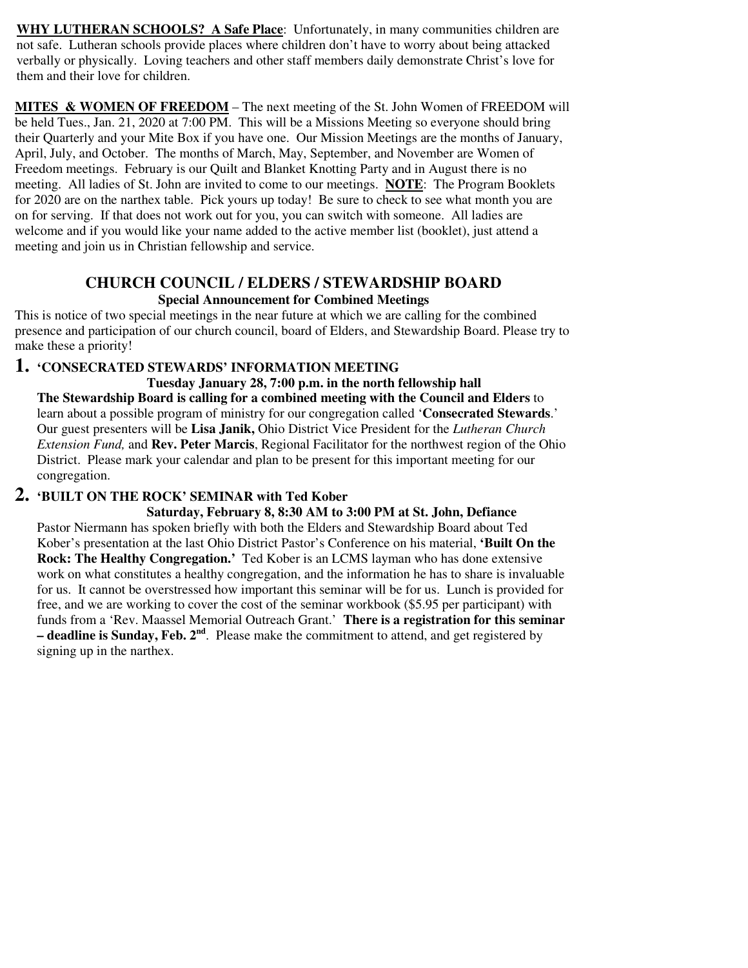**WHY LUTHERAN SCHOOLS? A Safe Place**: Unfortunately, in many communities children are not safe. Lutheran schools provide places where children don't have to worry about being attacked verbally or physically. Loving teachers and other staff members daily demonstrate Christ's love for them and their love for children.

**MITES & WOMEN OF FREEDOM** – The next meeting of the St. John Women of FREEDOM will be held Tues., Jan. 21, 2020 at 7:00 PM. This will be a Missions Meeting so everyone should bring their Quarterly and your Mite Box if you have one. Our Mission Meetings are the months of January, April, July, and October. The months of March, May, September, and November are Women of Freedom meetings. February is our Quilt and Blanket Knotting Party and in August there is no meeting. All ladies of St. John are invited to come to our meetings. **NOTE**: The Program Booklets for 2020 are on the narthex table. Pick yours up today! Be sure to check to see what month you are on for serving. If that does not work out for you, you can switch with someone. All ladies are welcome and if you would like your name added to the active member list (booklet), just attend a meeting and join us in Christian fellowship and service.

#### **CHURCH COUNCIL / ELDERS / STEWARDSHIP BOARD Special Announcement for Combined Meetings**

This is notice of two special meetings in the near future at which we are calling for the combined presence and participation of our church council, board of Elders, and Stewardship Board. Please try to make these a priority!

### **1. 'CONSECRATED STEWARDS' INFORMATION MEETING**

**Tuesday January 28, 7:00 p.m. in the north fellowship hall The Stewardship Board is calling for a combined meeting with the Council and Elders** to learn about a possible program of ministry for our congregation called '**Consecrated Stewards**.' Our guest presenters will be **Lisa Janik,** Ohio District Vice President for the *Lutheran Church Extension Fund,* and **Rev. Peter Marcis**, Regional Facilitator for the northwest region of the Ohio District. Please mark your calendar and plan to be present for this important meeting for our congregation.

# **2. 'BUILT ON THE ROCK' SEMINAR with Ted Kober**

 **Saturday, February 8, 8:30 AM to 3:00 PM at St. John, Defiance**  Pastor Niermann has spoken briefly with both the Elders and Stewardship Board about Ted Kober's presentation at the last Ohio District Pastor's Conference on his material, **'Built On the Rock: The Healthy Congregation.'** Ted Kober is an LCMS layman who has done extensive work on what constitutes a healthy congregation, and the information he has to share is invaluable for us. It cannot be overstressed how important this seminar will be for us. Lunch is provided for free, and we are working to cover the cost of the seminar workbook (\$5.95 per participant) with funds from a 'Rev. Maassel Memorial Outreach Grant.' **There is a registration for this seminar – deadline is Sunday, Feb. 2nd**. Please make the commitment to attend, and get registered by signing up in the narthex.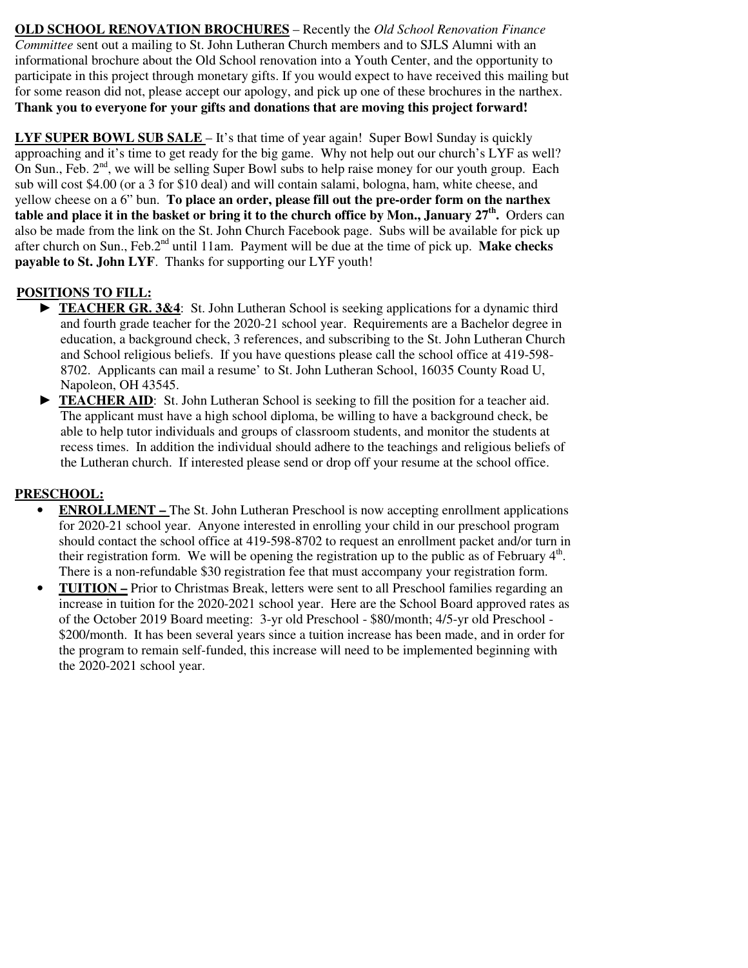**OLD SCHOOL RENOVATION BROCHURES** – Recently the *Old School Renovation Finance Committee* sent out a mailing to St. John Lutheran Church members and to SJLS Alumni with an informational brochure about the Old School renovation into a Youth Center, and the opportunity to participate in this project through monetary gifts. If you would expect to have received this mailing but for some reason did not, please accept our apology, and pick up one of these brochures in the narthex. **Thank you to everyone for your gifts and donations that are moving this project forward!** 

**LYF SUPER BOWL SUB SALE** – It's that time of year again! Super Bowl Sunday is quickly approaching and it's time to get ready for the big game. Why not help out our church's LYF as well? On Sun., Feb.  $2<sup>nd</sup>$ , we will be selling Super Bowl subs to help raise money for our youth group. Each sub will cost \$4.00 (or a 3 for \$10 deal) and will contain salami, bologna, ham, white cheese, and yellow cheese on a 6" bun. **To place an order, please fill out the pre-order form on the narthex table and place it in the basket or bring it to the church office by Mon., January 27th .** Orders can also be made from the link on the St. John Church Facebook page. Subs will be available for pick up after church on Sun., Feb.2nd until 11am. Payment will be due at the time of pick up. **Make checks payable to St. John LYF**. Thanks for supporting our LYF youth!

# **POSITIONS TO FILL:**

- **TEACHER GR. 3&4:** St. John Lutheran School is seeking applications for a dynamic third and fourth grade teacher for the 2020-21 school year. Requirements are a Bachelor degree in education, a background check, 3 references, and subscribing to the St. John Lutheran Church and School religious beliefs. If you have questions please call the school office at 419-598- 8702. Applicants can mail a resume' to St. John Lutheran School, 16035 County Road U, Napoleon, OH 43545.
- **TEACHER AID:** St. John Lutheran School is seeking to fill the position for a teacher aid. The applicant must have a high school diploma, be willing to have a background check, be able to help tutor individuals and groups of classroom students, and monitor the students at recess times. In addition the individual should adhere to the teachings and religious beliefs of the Lutheran church. If interested please send or drop off your resume at the school office.

# **PRESCHOOL:**

- **ENROLLMENT** The St. John Lutheran Preschool is now accepting enrollment applications for 2020-21 school year. Anyone interested in enrolling your child in our preschool program should contact the school office at 419-598-8702 to request an enrollment packet and/or turn in their registration form. We will be opening the registration up to the public as of February  $4<sup>th</sup>$ . There is a non-refundable \$30 registration fee that must accompany your registration form.
- **TUITION** Prior to Christmas Break, letters were sent to all Preschool families regarding an increase in tuition for the 2020-2021 school year. Here are the School Board approved rates as of the October 2019 Board meeting: 3-yr old Preschool - \$80/month; 4/5-yr old Preschool - \$200/month. It has been several years since a tuition increase has been made, and in order for the program to remain self-funded, this increase will need to be implemented beginning with the 2020-2021 school year.